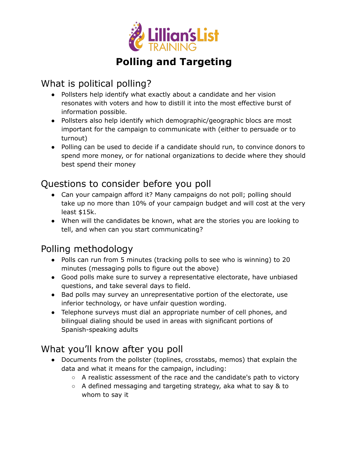

# **Polling and Targeting**

#### What is political polling?

- Pollsters help identify what exactly about a candidate and her vision resonates with voters and how to distill it into the most effective burst of information possible.
- Pollsters also help identify which demographic/geographic blocs are most important for the campaign to communicate with (either to persuade or to turnout)
- Polling can be used to decide if a candidate should run, to convince donors to spend more money, or for national organizations to decide where they should best spend their money

#### Questions to consider before you poll

- Can your campaign afford it? Many campaigns do not poll; polling should take up no more than 10% of your campaign budget and will cost at the very least \$15k.
- When will the candidates be known, what are the stories you are looking to tell, and when can you start communicating?

## Polling methodology

- Polls can run from 5 minutes (tracking polls to see who is winning) to 20 minutes (messaging polls to figure out the above)
- Good polls make sure to survey a representative electorate, have unbiased questions, and take several days to field.
- Bad polls may survey an unrepresentative portion of the electorate, use inferior technology, or have unfair question wording.
- Telephone surveys must dial an appropriate number of cell phones, and bilingual dialing should be used in areas with significant portions of Spanish-speaking adults

## What you'll know after you poll

- Documents from the pollster (toplines, crosstabs, memos) that explain the data and what it means for the campaign, including:
	- $\circ$  A realistic assessment of the race and the candidate's path to victory
	- $\circ$  A defined messaging and targeting strategy, aka what to say & to whom to say it